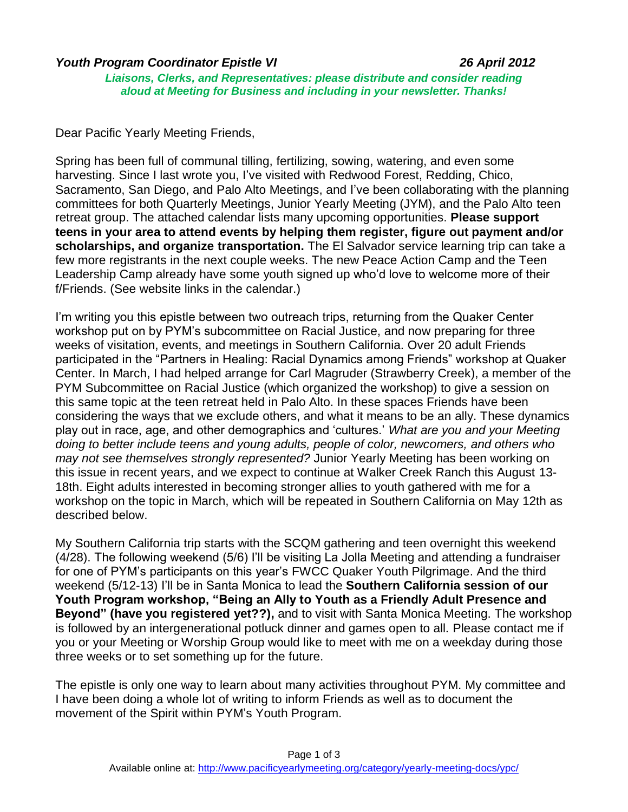## *Youth Program Coordinator Epistle VI 26 April 2012*

*Liaisons, Clerks, and Representatives: please distribute and consider reading aloud at Meeting for Business and including in your newsletter. Thanks!*

Dear Pacific Yearly Meeting Friends,

Spring has been full of communal tilling, fertilizing, sowing, watering, and even some harvesting. Since I last wrote you, I've visited with Redwood Forest, Redding, Chico, Sacramento, San Diego, and Palo Alto Meetings, and I've been collaborating with the planning committees for both Quarterly Meetings, Junior Yearly Meeting (JYM), and the Palo Alto teen retreat group. The attached calendar lists many upcoming opportunities. **Please support teens in your area to attend events by helping them register, figure out payment and/or scholarships, and organize transportation.** The El Salvador service learning trip can take a few more registrants in the next couple weeks. The new Peace Action Camp and the Teen Leadership Camp already have some youth signed up who'd love to welcome more of their f/Friends. (See website links in the calendar.)

I'm writing you this epistle between two outreach trips, returning from the Quaker Center workshop put on by PYM's subcommittee on Racial Justice, and now preparing for three weeks of visitation, events, and meetings in Southern California. Over 20 adult Friends participated in the "Partners in Healing: Racial Dynamics among Friends" workshop at Quaker Center. In March, I had helped arrange for Carl Magruder (Strawberry Creek), a member of the PYM Subcommittee on Racial Justice (which organized the workshop) to give a session on this same topic at the teen retreat held in Palo Alto. In these spaces Friends have been considering the ways that we exclude others, and what it means to be an ally. These dynamics play out in race, age, and other demographics and 'cultures.' *What are you and your Meeting doing to better include teens and young adults, people of color, newcomers, and others who may not see themselves strongly represented?* Junior Yearly Meeting has been working on this issue in recent years, and we expect to continue at Walker Creek Ranch this August 13- 18th. Eight adults interested in becoming stronger allies to youth gathered with me for a workshop on the topic in March, which will be repeated in Southern California on May 12th as described below.

My Southern California trip starts with the SCQM gathering and teen overnight this weekend (4/28). The following weekend (5/6) I'll be visiting La Jolla Meeting and attending a fundraiser for one of PYM's participants on this year's FWCC Quaker Youth Pilgrimage. And the third weekend (5/12-13) I'll be in Santa Monica to lead the **Southern California session of our Youth Program workshop, "Being an Ally to Youth as a Friendly Adult Presence and Beyond" (have you registered yet??),** and to visit with Santa Monica Meeting. The workshop is followed by an intergenerational potluck dinner and games open to all. Please contact me if you or your Meeting or Worship Group would like to meet with me on a weekday during those three weeks or to set something up for the future.

The epistle is only one way to learn about many activities throughout PYM. My committee and I have been doing a whole lot of writing to inform Friends as well as to document the movement of the Spirit within PYM's Youth Program.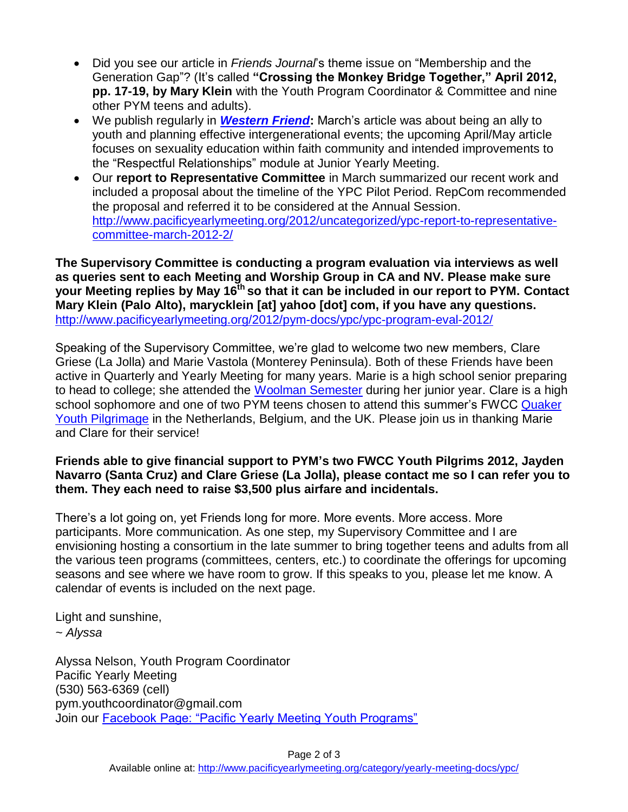- Did you see our article in *Friends Journal*'s theme issue on "Membership and the Generation Gap"? (It's called **"Crossing the Monkey Bridge Together," April 2012, pp. 17-19, by Mary Klein** with the Youth Program Coordinator & Committee and nine other PYM teens and adults).
- We publish regularly in *[Western Friend](http://westernfriend.org/)***:** March's article was about being an ally to youth and planning effective intergenerational events; the upcoming April/May article focuses on sexuality education within faith community and intended improvements to the "Respectful Relationships" module at Junior Yearly Meeting.
- Our **report to Representative Committee** in March summarized our recent work and included a proposal about the timeline of the YPC Pilot Period. RepCom recommended the proposal and referred it to be considered at the Annual Session. [http://www.pacificyearlymeeting.org/2012/uncategorized/ypc-report-to-representative](http://www.pacificyearlymeeting.org/2012/uncategorized/ypc-report-to-representative-committee-march-2012-2/)[committee-march-2012-2/](http://www.pacificyearlymeeting.org/2012/uncategorized/ypc-report-to-representative-committee-march-2012-2/)

**The Supervisory Committee is conducting a program evaluation via interviews as well as queries sent to each Meeting and Worship Group in CA and NV. Please make sure your Meeting replies by May 16th so that it can be included in our report to PYM. Contact Mary Klein (Palo Alto), marycklein [at] yahoo [dot] com, if you have any questions.** <http://www.pacificyearlymeeting.org/2012/pym-docs/ypc/ypc-program-eval-2012/>

Speaking of the Supervisory Committee, we're glad to welcome two new members, Clare Griese (La Jolla) and Marie Vastola (Monterey Peninsula). Both of these Friends have been active in Quarterly and Yearly Meeting for many years. Marie is a high school senior preparing to head to college; she attended the [Woolman Semester](http://semester.woolman.org/) during her junior year. Clare is a high school sophomore and one of two PYM teens chosen to attend this summer's FWCC [Quaker](http://www.fwccamericas.org/about_us/programs/youth.shtml)  [Youth Pilgrimage](http://www.fwccamericas.org/about_us/programs/youth.shtml) in the Netherlands, Belgium, and the UK. Please join us in thanking Marie and Clare for their service!

## **Friends able to give financial support to PYM's two FWCC Youth Pilgrims 2012, Jayden Navarro (Santa Cruz) and Clare Griese (La Jolla), please contact me so I can refer you to them. They each need to raise \$3,500 plus airfare and incidentals.**

There's a lot going on, yet Friends long for more. More events. More access. More participants. More communication. As one step, my Supervisory Committee and I are envisioning hosting a consortium in the late summer to bring together teens and adults from all the various teen programs (committees, centers, etc.) to coordinate the offerings for upcoming seasons and see where we have room to grow. If this speaks to you, please let me know. A calendar of events is included on the next page.

Light and sunshine,

*~ Alyssa*

Alyssa Nelson, Youth Program Coordinator Pacific Yearly Meeting (530) 563-6369 (cell) pym.youthcoordinator@gmail.com Join our [Facebook Page: "Pacific Yearly Meeting Youth Programs"](https://www.facebook.com/pages/Pacific-Yearly-Meeting-Youth-Programs/114350215310651)